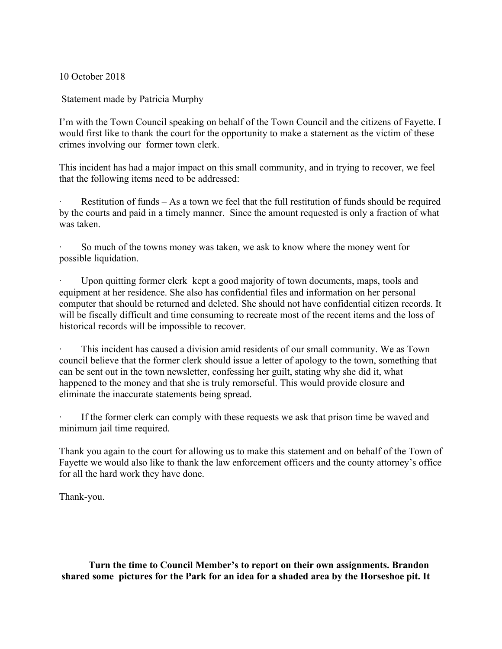10 October 2018

Statement made by Patricia Murphy

I'm with the Town Council speaking on behalf of the Town Council and the citizens of Fayette. I would first like to thank the court for the opportunity to make a statement as the victim of these crimes involving our former town clerk.

This incident has had a major impact on this small community, and in trying to recover, we feel that the following items need to be addressed:

Restitution of funds – As a town we feel that the full restitution of funds should be required by the courts and paid in a timely manner. Since the amount requested is only a fraction of what was taken.

So much of the towns money was taken, we ask to know where the money went for possible liquidation.

Upon quitting former clerk kept a good majority of town documents, maps, tools and equipment at her residence. She also has confidential files and information on her personal computer that should be returned and deleted. She should not have confidential citizen records. It will be fiscally difficult and time consuming to recreate most of the recent items and the loss of historical records will be impossible to recover.

This incident has caused a division amid residents of our small community. We as Town council believe that the former clerk should issue a letter of apology to the town, something that can be sent out in the town newsletter, confessing her guilt, stating why she did it, what happened to the money and that she is truly remorseful. This would provide closure and eliminate the inaccurate statements being spread.

If the former clerk can comply with these requests we ask that prison time be waved and minimum jail time required.

Thank you again to the court for allowing us to make this statement and on behalf of the Town of Fayette we would also like to thank the law enforcement officers and the county attorney's office for all the hard work they have done.

Thank-you.

 **Turn the time to Council Member's to report on their own assignments. Brandon shared some pictures for the Park for an idea for a shaded area by the Horseshoe pit. It**